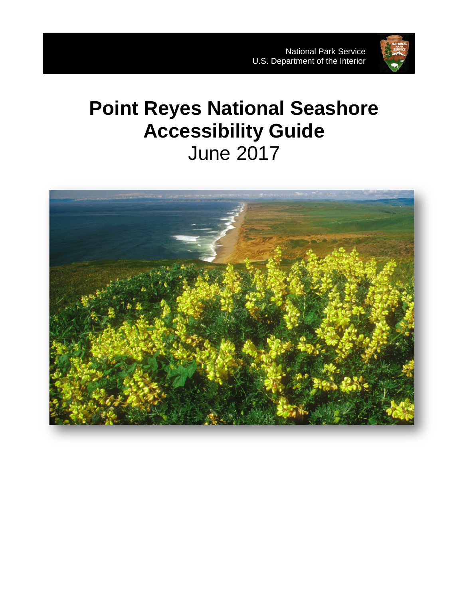

# **Point Reyes National Seashore Accessibility Guide** June 2017

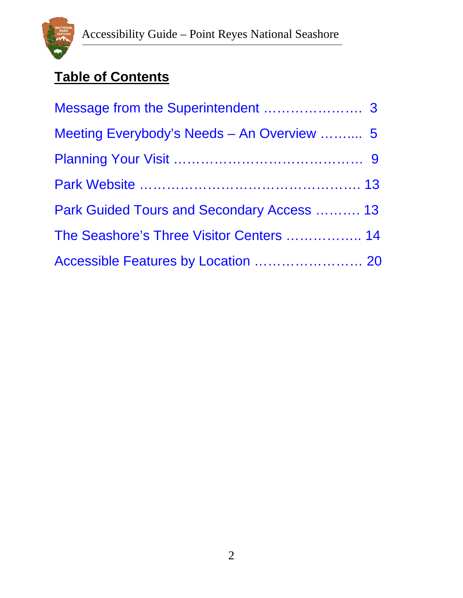

# **Table of Contents**

| Meeting Everybody's Needs - An Overview  5 |
|--------------------------------------------|
|                                            |
|                                            |
| Park Guided Tours and Secondary Access  13 |
| The Seashore's Three Visitor Centers  14   |
| Accessible Features by Location  20        |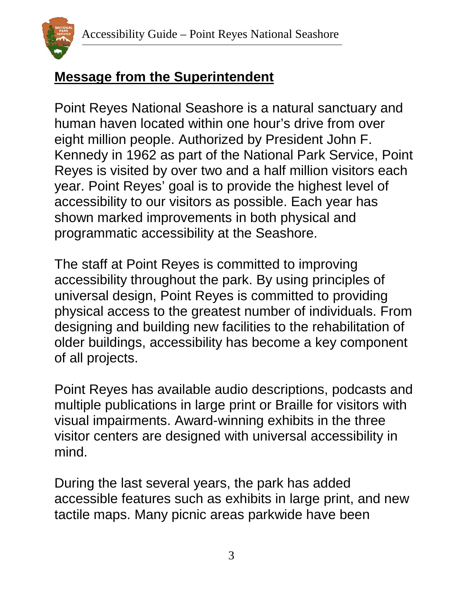

### <span id="page-2-0"></span>**Message from the Superintendent**

Point Reyes National Seashore is a natural sanctuary and human haven located within one hour's drive from over eight million people. Authorized by President John F. Kennedy in 1962 as part of the National Park Service, Point Reyes is visited by over two and a half million visitors each year. Point Reyes' goal is to provide the highest level of accessibility to our visitors as possible. Each year has shown marked improvements in both physical and programmatic accessibility at the Seashore.

The staff at Point Reyes is committed to improving accessibility throughout the park. By using principles of universal design, Point Reyes is committed to providing physical access to the greatest number of individuals. From designing and building new facilities to the rehabilitation of older buildings, accessibility has become a key component of all projects.

Point Reyes has available audio descriptions, podcasts and multiple publications in large print or Braille for visitors with visual impairments. Award-winning exhibits in the three visitor centers are designed with universal accessibility in mind.

During the last several years, the park has added accessible features such as exhibits in large print, and new tactile maps. Many picnic areas parkwide have been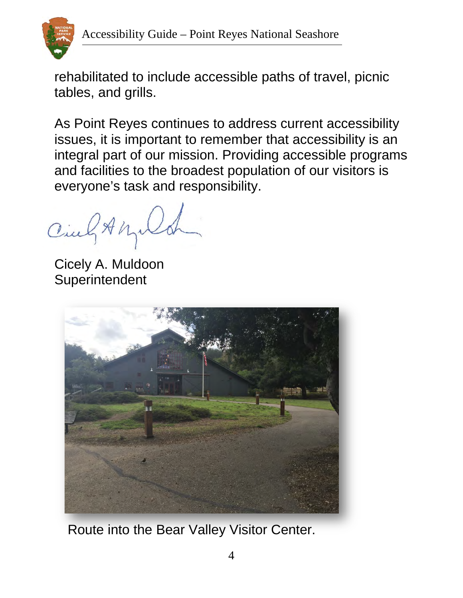

rehabilitated to include accessible paths of travel, picnic tables, and grills.

As Point Reyes continues to address current accessibility issues, it is important to remember that accessibility is an integral part of our mission. Providing accessible programs and facilities to the broadest population of our visitors is everyone's task and responsibility.

Cing Any

Cicely A. Muldoon Superintendent



Route into the Bear Valley Visitor Center.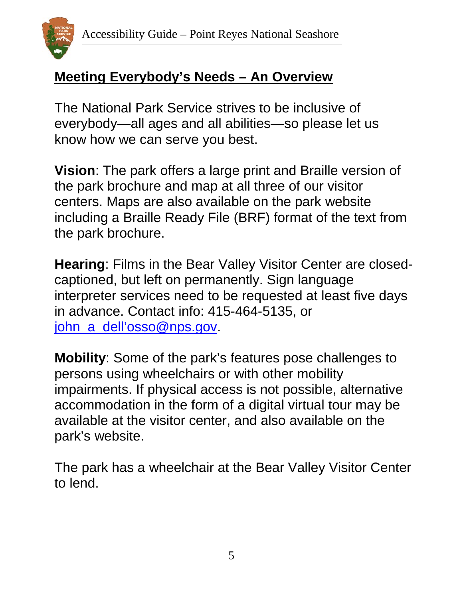

#### <span id="page-4-0"></span>**Meeting Everybody's Needs – An Overview**

The National Park Service strives to be inclusive of everybody—all ages and all abilities—so please let us know how we can serve you best.

**Vision**: The park offers a large print and Braille version of the park brochure and map at all three of our visitor centers. Maps are also available on the park website including a Braille Ready File (BRF) format of the text from the park brochure.

**Hearing**: Films in the Bear Valley Visitor Center are closedcaptioned, but left on permanently. Sign language interpreter services need to be requested at least five days in advance. Contact info: 415-464-5135, or john\_a\_dell'osso@nps.gov.

**Mobility**: Some of the park's features pose challenges to persons using wheelchairs or with other mobility impairments. If physical access is not possible, alternative accommodation in the form of a digital virtual tour may be available at the visitor center, and also available on the park's website.

The park has a wheelchair at the Bear Valley Visitor Center to lend.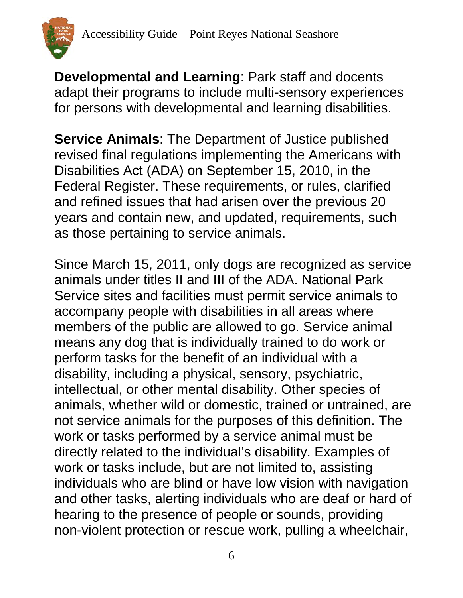

**Developmental and Learning**: Park staff and docents adapt their programs to include multi-sensory experiences for persons with developmental and learning disabilities.

**Service Animals**: The Department of Justice published revised final regulations implementing the Americans with Disabilities Act (ADA) on September 15, 2010, in the Federal Register. These requirements, or rules, clarified and refined issues that had arisen over the previous 20 years and contain new, and updated, requirements, such as those pertaining to service animals.

Since March 15, 2011, only dogs are recognized as service animals under titles II and III of the ADA. National Park Service sites and facilities must permit service animals to accompany people with disabilities in all areas where members of the public are allowed to go. Service animal means any dog that is individually trained to do work or perform tasks for the benefit of an individual with a disability, including a physical, sensory, psychiatric, intellectual, or other mental disability. Other species of animals, whether wild or domestic, trained or untrained, are not service animals for the purposes of this definition. The work or tasks performed by a service animal must be directly related to the individual's disability. Examples of work or tasks include, but are not limited to, assisting individuals who are blind or have low vision with navigation and other tasks, alerting individuals who are deaf or hard of hearing to the presence of people or sounds, providing non-violent protection or rescue work, pulling a wheelchair,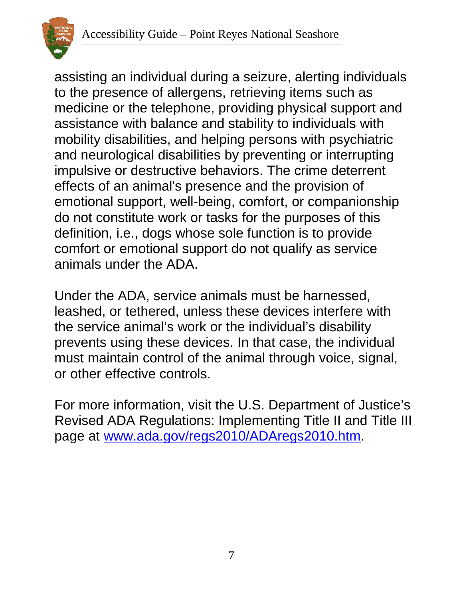

assisting an individual during a seizure, alerting individuals to the presence of allergens, retrieving items such as medicine or the telephone, providing physical support and assistance with balance and stability to individuals with mobility disabilities, and helping persons with psychiatric and neurological disabilities by preventing or interrupting impulsive or destructive behaviors. The crime deterrent effects of an animal's presence and the provision of emotional support, well-being, comfort, or companionship do not constitute work or tasks for the purposes of this definition, i.e., dogs whose sole function is to provide comfort or emotional support do not qualify as service animals under the ADA.

Under the ADA, service animals must be harnessed, leashed, or tethered, unless these devices interfere with the service animal's work or the individual's disability prevents using these devices. In that case, the individual must maintain control of the animal through voice, signal, or other effective controls.

For more information, visit the U.S. Department of Justice's Revised ADA Regulations: Implementing Title II and Title III page at [www.ada.gov/regs2010/ADAregs2010.htm.](http://www.ada.gov/regs2010/ADAregs2010.htm)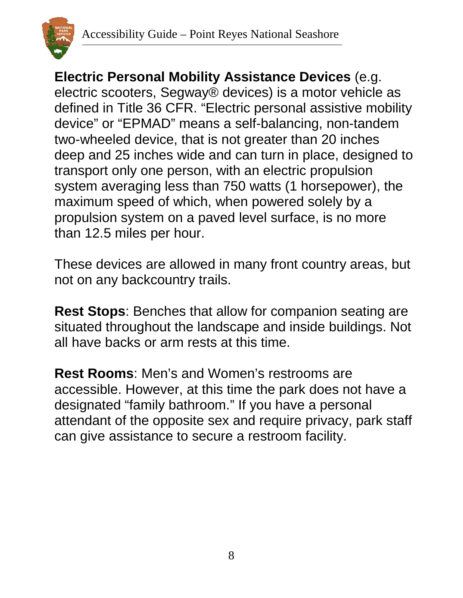

**Electric Personal Mobility Assistance Devices** (e.g. electric scooters, Segway® devices) is a motor vehicle as defined in Title 36 CFR. "Electric personal assistive mobility device" or "EPMAD" means a self-balancing, non-tandem two-wheeled device, that is not greater than 20 inches deep and 25 inches wide and can turn in place, designed to transport only one person, with an electric propulsion system averaging less than 750 watts (1 horsepower), the maximum speed of which, when powered solely by a propulsion system on a paved level surface, is no more than 12.5 miles per hour.

These devices are allowed in many front country areas, but not on any backcountry trails.

**Rest Stops**: Benches that allow for companion seating are situated throughout the landscape and inside buildings. Not all have backs or arm rests at this time.

**Rest Rooms**: Men's and Women's restrooms are accessible. However, at this time the park does not have a designated "family bathroom." If you have a personal attendant of the opposite sex and require privacy, park staff can give assistance to secure a restroom facility.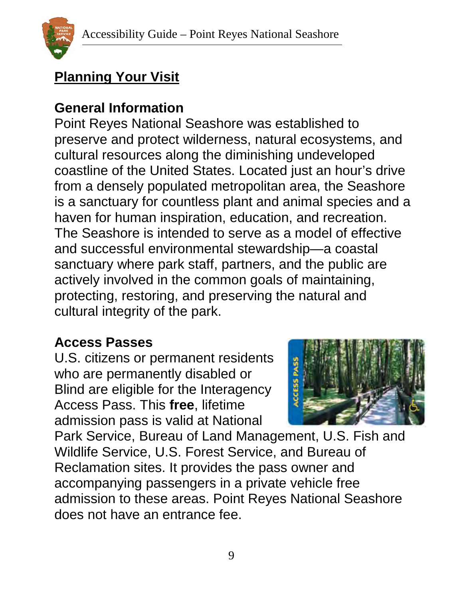

# <span id="page-8-0"></span>**Planning Your Visit**

### **General Information**

Point Reyes National Seashore was established to preserve and protect wilderness, natural ecosystems, and cultural resources along the diminishing undeveloped coastline of the United States. Located just an hour's drive from a densely populated metropolitan area, the Seashore is a sanctuary for countless plant and animal species and a haven for human inspiration, education, and recreation. The Seashore is intended to serve as a model of effective and successful environmental stewardship—a coastal sanctuary where park staff, partners, and the public are actively involved in the common goals of maintaining, protecting, restoring, and preserving the natural and cultural integrity of the park.

#### **Access Passes**

U.S. citizens or permanent residents who are permanently disabled or Blind are eligible for the Interagency Access Pass. This **free**, lifetime admission pass is valid at National



Park Service, Bureau of Land Management, U.S. Fish and Wildlife Service, U.S. Forest Service, and Bureau of Reclamation sites. It provides the pass owner and accompanying passengers in a private vehicle free admission to these areas. Point Reyes National Seashore does not have an entrance fee.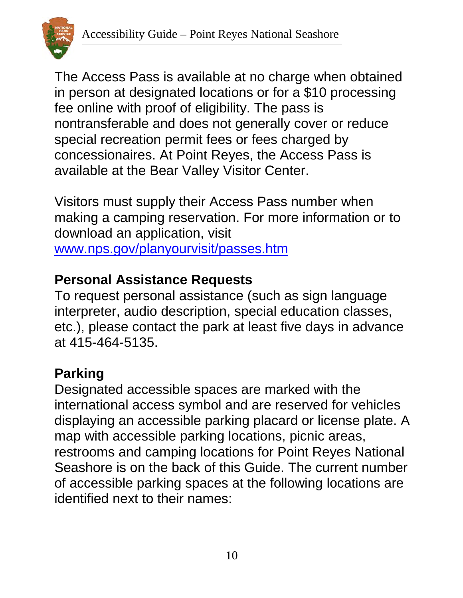

The Access Pass is available at no charge when obtained in person at designated locations or for a \$10 processing fee online with proof of eligibility. The pass is nontransferable and does not generally cover or reduce special recreation permit fees or fees charged by concessionaires. At Point Reyes, the Access Pass is available at the Bear Valley Visitor Center.

Visitors must supply their Access Pass number when making a camping reservation. For more information or to download an application, visit [www.nps.gov/planyourvisit/passes.htm](http://www.nps.gov/planyourvisit/passes.htm)

### **Personal Assistance Requests**

To request personal assistance (such as sign language interpreter, audio description, special education classes, etc.), please contact the park at least five days in advance at 415-464-5135.

# **Parking**

Designated accessible spaces are marked with the international access symbol and are reserved for vehicles displaying an accessible parking placard or license plate. A map with accessible parking locations, picnic areas, restrooms and camping locations for Point Reyes National Seashore is on the back of this Guide. The current number of accessible parking spaces at the following locations are identified next to their names: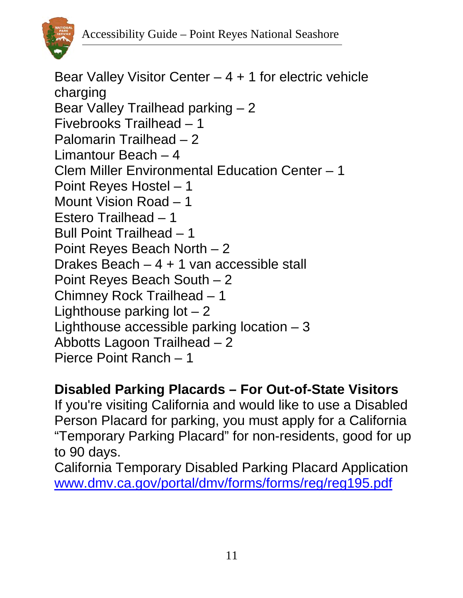

Bear Valley Visitor Center  $-4 + 1$  for electric vehicle charging Bear Valley Trailhead parking – 2 Fivebrooks Trailhead – 1 Palomarin Trailhead – 2 Limantour Beach – 4 Clem Miller Environmental Education Center – 1 Point Reyes Hostel – 1 Mount Vision Road – 1 Estero Trailhead – 1 Bull Point Trailhead – 1 Point Reyes Beach North – 2 Drakes Beach – 4 + 1 van accessible stall Point Reyes Beach South – 2 Chimney Rock Trailhead – 1 Lighthouse parking  $\vert$  ot  $-2$ Lighthouse accessible parking location – 3 Abbotts Lagoon Trailhead – 2 Pierce Point Ranch – 1

### **Disabled Parking Placards – For Out-of-State Visitors**

If you're visiting California and would like to use a Disabled Person Placard for parking, you must apply for a California "Temporary Parking Placard" for non-residents, good for up to 90 days.

California Temporary Disabled Parking Placard Application [www.dmv.ca.gov/portal/dmv/forms/forms/reg/reg195.pdf](http://www.dmv.ca.gov/portal/dmv/forms/forms/reg/reg195.pdf)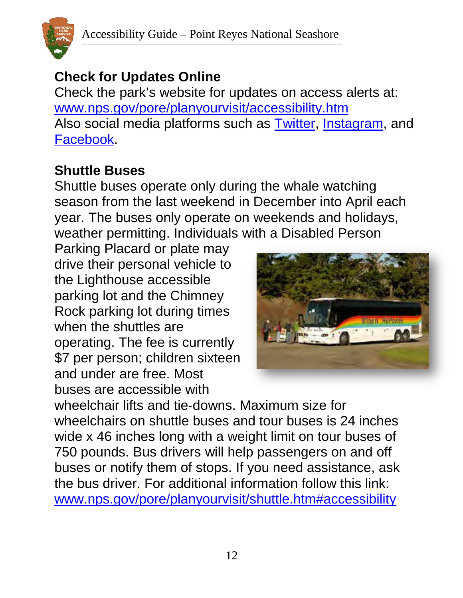

### **Check for Updates Online**

Check the park's website for updates on access alerts at: [www.nps.gov/pore/planyourvisit/accessibility.htm](http://www.nps.gov/pore/planyourvisit/accessibility.htm) Also social media platforms such as [Twitter,](https://twitter.com/PointReyesNPS) [Instagram,](https://www.instagram.com/PointReyesNPS/) and [Facebook.](https://www.facebook.com/PointReyesNPS)

### **Shuttle Buses**

Shuttle buses operate only during the whale watching season from the last weekend in December into April each year. The buses only operate on weekends and holidays, weather permitting. Individuals with a Disabled Person

Parking Placard or plate may drive their personal vehicle to the Lighthouse accessible parking lot and the Chimney Rock parking lot during times when the shuttles are operating. The fee is currently \$7 per person; children sixteen and under are free. Most buses are accessible with



wheelchair lifts and tie‐downs. Maximum size for wheelchairs on shuttle buses and tour buses is 24 inches wide x 46 inches long with a weight limit on tour buses of 750 pounds. Bus drivers will help passengers on and off buses or notify them of stops. If you need assistance, ask the bus driver. For additional information follow this link: [www.nps.gov/pore/planyourvisit/shuttle.htm#accessibility](http://www.nps.gov/pore/planyourvisit/shuttle.htm#accessibility)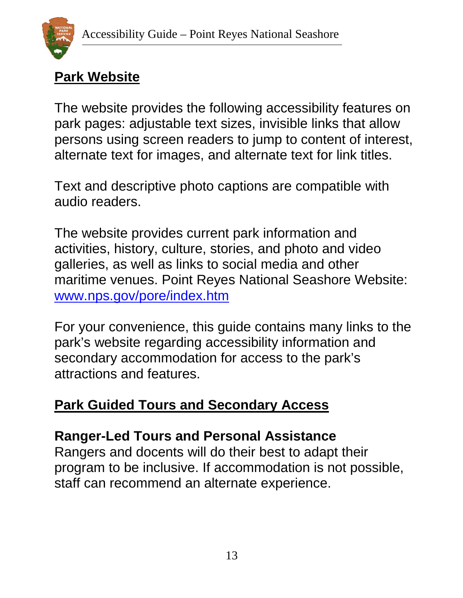

### <span id="page-12-0"></span>**Park Website**

The website provides the following accessibility features on park pages: adjustable text sizes, invisible links that allow persons using screen readers to jump to content of interest, alternate text for images, and alternate text for link titles.

Text and descriptive photo captions are compatible with audio readers.

The website provides current park information and activities, history, culture, stories, and photo and video galleries, as well as links to social media and other maritime venues. Point Reyes National Seashore Website: [www.nps.gov/pore/index.htm](http://www.nps.gov/pore/index.htm)

For your convenience, this guide contains many links to the park's website regarding accessibility information and secondary accommodation for access to the park's attractions and features.

### <span id="page-12-1"></span>**Park Guided Tours and Secondary Access**

### **Ranger-Led Tours and Personal Assistance**

Rangers and docents will do their best to adapt their program to be inclusive. If accommodation is not possible, staff can recommend an alternate experience.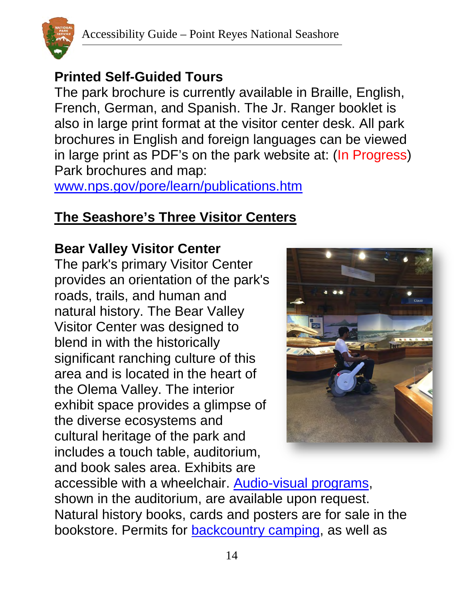

### **Printed Self-Guided Tours**

The park brochure is currently available in Braille, English, French, German, and Spanish. The Jr. Ranger booklet is also in large print format at the visitor center desk. All park brochures in English and foreign languages can be viewed in large print as PDF's on the park website at: (In Progress) Park brochures and map:

[www.nps.gov/pore/learn/publications.htm](http://www.nps.gov/pore/learn/publications.htm)

### <span id="page-13-0"></span>**The Seashore's Three Visitor Centers**

#### **Bear Valley Visitor Center**

The park's primary Visitor Center provides an orientation of the park's roads, trails, and human and natural history. The Bear Valley Visitor Center was designed to blend in with the historically significant ranching culture of this area and is located in the heart of the Olema Valley. The interior exhibit space provides a glimpse of the diverse ecosystems and cultural heritage of the park and includes a touch table, auditorium, and book sales area. Exhibits are



accessible with a wheelchair. [Audio-visual programs,](https://www.nps.gov/pore/planyourvisit/indooractivities.htm#bvvcavprograms) shown in the auditorium, are available upon request. Natural history books, cards and posters are for sale in the bookstore. Permits for **backcountry camping**, as well as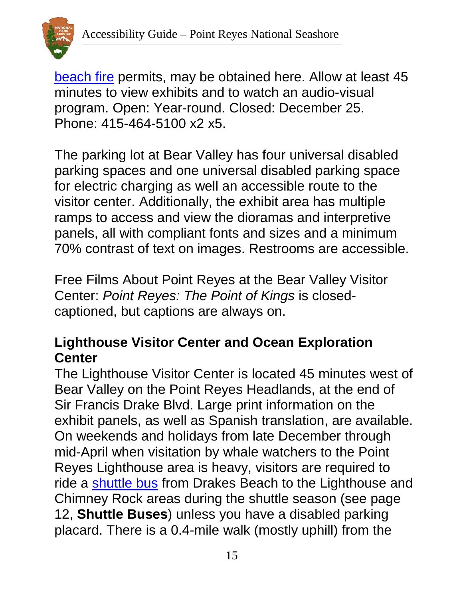

[beach fire](https://www.nps.gov/pore/planyourvisit/beachfires.htm) permits, may be obtained here. Allow at least 45 minutes to view exhibits and to watch an audio-visual program. Open: Year-round. Closed: December 25. Phone: 415-464-5100 x2 x5.

The parking lot at Bear Valley has four universal disabled parking spaces and one universal disabled parking space for electric charging as well an accessible route to the visitor center. Additionally, the exhibit area has multiple ramps to access and view the dioramas and interpretive panels, all with compliant fonts and sizes and a minimum 70% contrast of text on images. Restrooms are accessible.

Free Films About Point Reyes at the Bear Valley Visitor Center: *Point Reyes: The Point of Kings* is closedcaptioned, but captions are always on.

### **Lighthouse Visitor Center and Ocean Exploration Center**

The Lighthouse Visitor Center is located 45 minutes west of Bear Valley on the Point Reyes Headlands, at the end of Sir Francis Drake Blvd. Large print information on the exhibit panels, as well as Spanish translation, are available. On weekends and holidays from late December through mid-April when visitation by whale watchers to the Point Reyes Lighthouse area is heavy, visitors are required to ride a [shuttle bus](https://www.nps.gov/pore/planyourvisit/shuttle.htm) from Drakes Beach to the Lighthouse and Chimney Rock areas during the shuttle season (see page 12, **Shuttle Buses**) unless you have a disabled parking placard. There is a 0.4-mile walk (mostly uphill) from the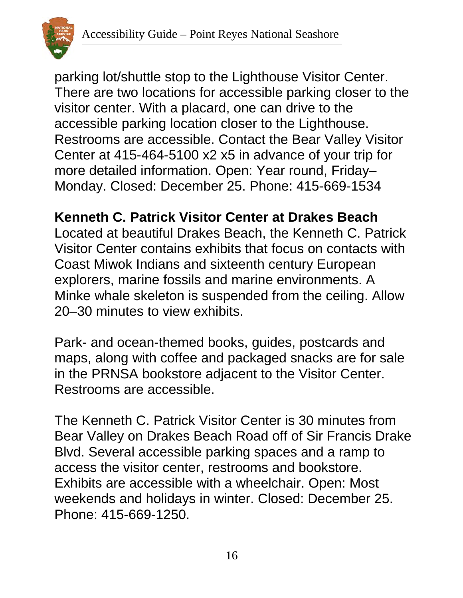

parking lot/shuttle stop to the Lighthouse Visitor Center. There are two locations for accessible parking closer to the visitor center. With a placard, one can drive to the accessible parking location closer to the Lighthouse. Restrooms are accessible. Contact the Bear Valley Visitor Center at 415-464-5100 x2 x5 in advance of your trip for more detailed information. Open: Year round, Friday– Monday. Closed: December 25. Phone: 415-669-1534

**Kenneth C. Patrick Visitor Center at Drakes Beach**

Located at beautiful Drakes Beach, the Kenneth C. Patrick Visitor Center contains exhibits that focus on contacts with Coast Miwok Indians and sixteenth century [European](http://www.nps.gov/pore/historyculture/people_europeanexplorers.htm)  [explorers,](http://www.nps.gov/pore/historyculture/people_europeanexplorers.htm) marine fossils and marine environments. A Minke whale skeleton is suspended from the ceiling. Allow 20–30 minutes to view exhibits.

Park- and ocean-themed books, guides, postcards and maps, along with coffee and packaged snacks are for sale in the PRNSA bookstore adjacent to the Visitor Center. Restrooms are accessible.

The Kenneth C. Patrick Visitor Center is 30 minutes from Bear Valley on Drakes Beach Road off of Sir Francis Drake Blvd. Several accessible parking spaces and a ramp to access the visitor center, restrooms and bookstore. Exhibits are accessible with a wheelchair. Open: Most weekends and holidays in winter. Closed: December 25. Phone: 415-669-1250.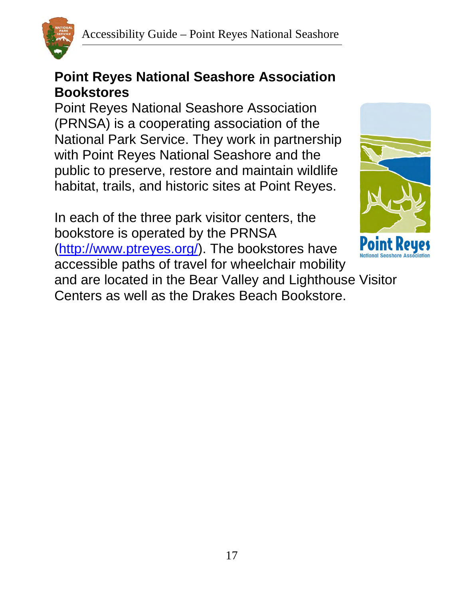

#### **Point Reyes National Seashore Association Bookstores**

Point Reyes National Seashore Association (PRNSA) is a cooperating association of the National Park Service. They work in partnership with Point Reyes National Seashore and the public to preserve, restore and maintain wildlife habitat, trails, and historic sites at Point Reyes.

In each of the three park visitor centers, the bookstore is operated by the PRNSA [\(http://www.ptreyes.org/\)](http://www.ptreyes.org/). The bookstores have accessible paths of travel for wheelchair mobility and are located in the Bear Valley and Lighthouse Visitor Centers as well as the Drakes Beach Bookstore.

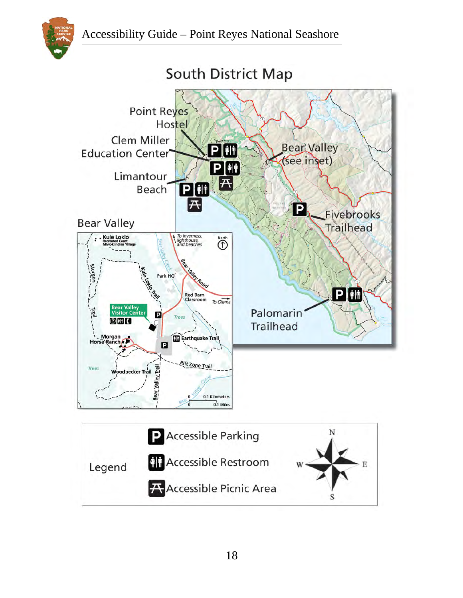

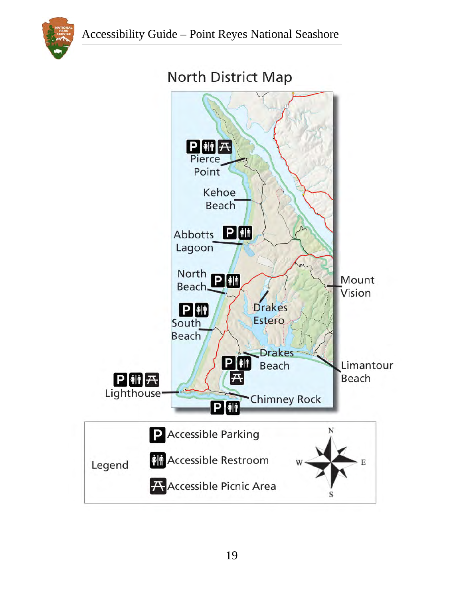



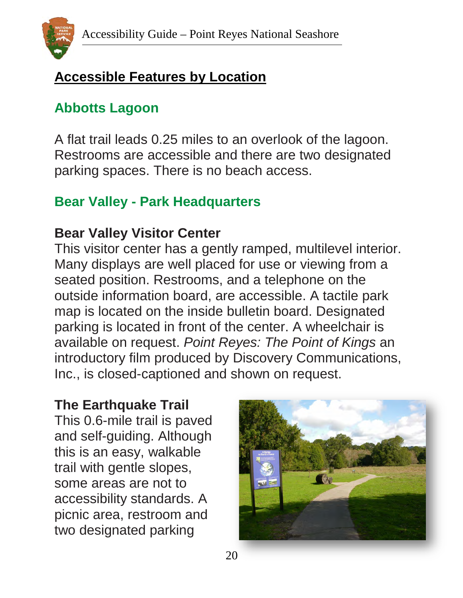

### <span id="page-19-0"></span>**Accessible Features by Location**

### **Abbotts Lagoon**

A flat trail leads 0.25 miles to an overlook of the lagoon. Restrooms are accessible and there are two designated parking spaces. There is no beach access.

### **Bear Valley - Park Headquarters**

### **Bear Valley Visitor Center**

This visitor center has a gently ramped, multilevel interior. Many displays are well placed for use or viewing from a seated position. Restrooms, and a telephone on the outside information board, are accessible. A tactile park map is located on the inside bulletin board. Designated parking is located in front of the center. A wheelchair is available on request. *Point Reyes: The Point of Kings* an introductory film produced by Discovery Communications, Inc., is closed-captioned and shown on request.

### **The Earthquake Trail**

This 0.6-mile trail is paved and self-guiding. Although this is an easy, walkable trail with gentle slopes, some areas are not to accessibility standards. A picnic area, restroom and two designated parking

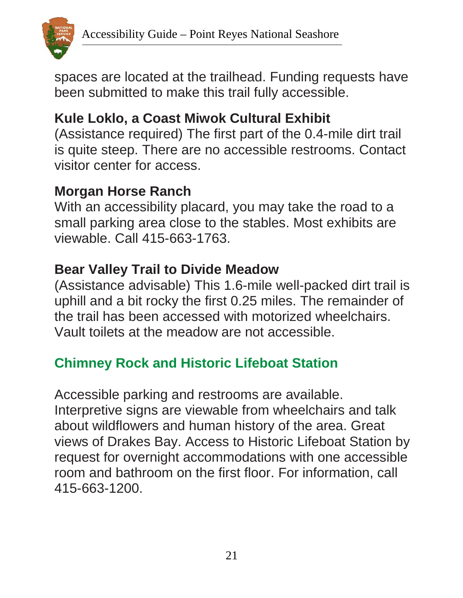

spaces are located at the trailhead. Funding requests have been submitted to make this trail fully accessible.

### **Kule Loklo, a Coast Miwok Cultural Exhibit**

(Assistance required) The first part of the 0.4-mile dirt trail is quite steep. There are no accessible restrooms. Contact visitor center for access.

### **Morgan Horse Ranch**

With an accessibility placard, you may take the road to a small parking area close to the stables. Most exhibits are viewable. Call 415-663-1763.

### **Bear Valley Trail to Divide Meadow**

(Assistance advisable) This 1.6-mile well-packed dirt trail is uphill and a bit rocky the first 0.25 miles. The remainder of the trail has been accessed with motorized wheelchairs. Vault toilets at the meadow are not accessible.

# **Chimney Rock and Historic Lifeboat Station**

Accessible parking and restrooms are available. Interpretive signs are viewable from wheelchairs and talk about wildflowers and human history of the area. Great views of Drakes Bay. Access to Historic Lifeboat Station by request for overnight accommodations with one accessible room and bathroom on the first floor. For information, call 415-663-1200.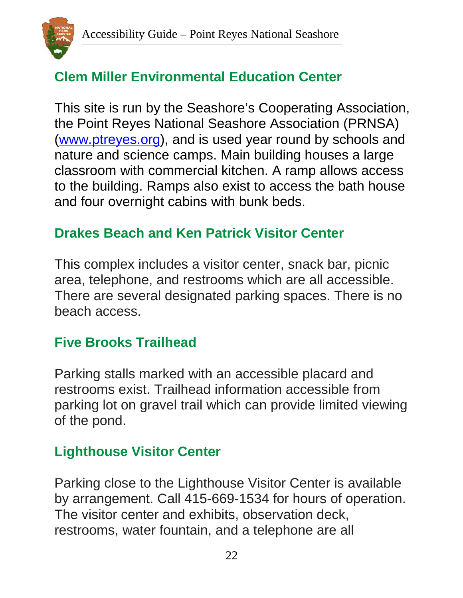

# **Clem Miller Environmental Education Center**

This site is run by the Seashore's Cooperating Association, the Point Reyes National Seashore Association (PRNSA) [\(www.ptreyes.org\)](http://www.ptreyes.org/), and is used year round by schools and nature and science camps. Main building houses a large classroom with commercial kitchen. A ramp allows access to the building. Ramps also exist to access the bath house and four overnight cabins with bunk beds.

### **Drakes Beach and Ken Patrick Visitor Center**

This complex includes a visitor center, snack bar, picnic area, telephone, and restrooms which are all accessible. There are several designated parking spaces. There is no beach access.

### **Five Brooks Trailhead**

Parking stalls marked with an accessible placard and restrooms exist. Trailhead information accessible from parking lot on gravel trail which can provide limited viewing of the pond.

### **Lighthouse Visitor Center**

Parking close to the Lighthouse Visitor Center is available by arrangement. Call 415-669-1534 for hours of operation. The visitor center and exhibits, observation deck, restrooms, water fountain, and a telephone are all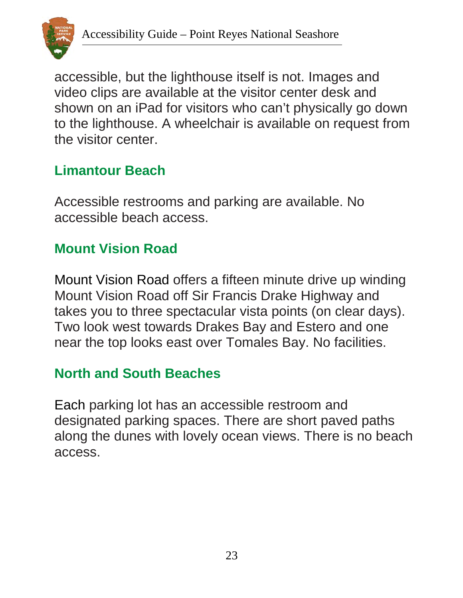

accessible, but the lighthouse itself is not. Images and video clips are available at the visitor center desk and shown on an iPad for visitors who can't physically go down to the lighthouse. A wheelchair is available on request from the visitor center.

### **Limantour Beach**

Accessible restrooms and parking are available. No accessible beach access.

### **Mount Vision Road**

Mount Vision Road offers a fifteen minute drive up winding Mount Vision Road off Sir Francis Drake Highway and takes you to three spectacular vista points (on clear days). Two look west towards Drakes Bay and Estero and one near the top looks east over Tomales Bay. No facilities.

#### **North and South Beaches**

Each parking lot has an accessible restroom and designated parking spaces. There are short paved paths along the dunes with lovely ocean views. There is no beach access.